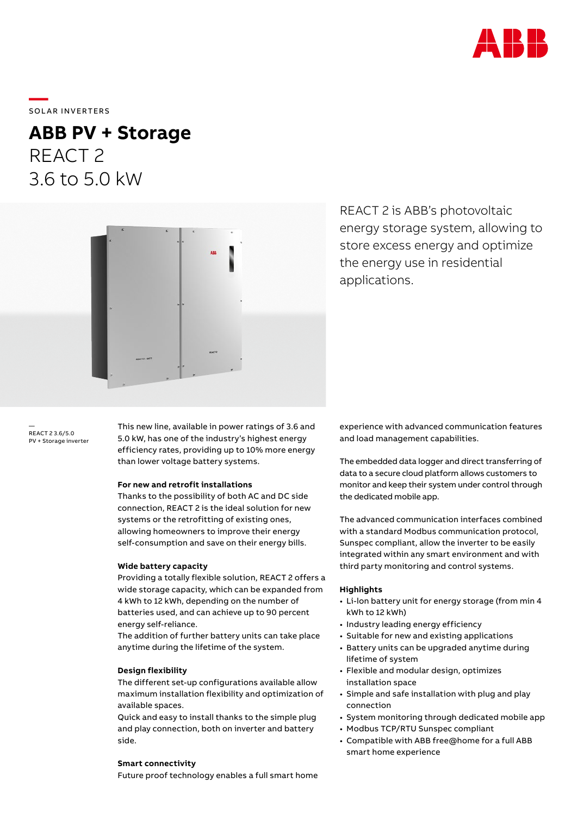

# \_\_\_\_\_<br>SOLAR INVERTERS

## **ABB PV + Storage** REACT 2 3.6 to 5.0 kW



REACT 2 is ABB's photovoltaic energy storage system, allowing to store excess energy and optimize the energy use in residential applications.

REACT 2 3.6/5.0 PV + Storage inverter

—

This new line, available in power ratings of 3.6 and 5.0 kW, has one of the industry's highest energy efficiency rates, providing up to 10% more energy than lower voltage battery systems.

### **For new and retrofit installations**

Thanks to the possibility of both AC and DC side connection, REACT 2 is the ideal solution for new systems or the retrofitting of existing ones, allowing homeowners to improve their energy self-consumption and save on their energy bills.

## **Wide battery capacity**

Providing a totally flexible solution, REACT 2 offers a wide storage capacity, which can be expanded from 4 kWh to 12 kWh, depending on the number of batteries used, and can achieve up to 90 percent energy self-reliance.

The addition of further battery units can take place anytime during the lifetime of the system.

### **Design flexibility**

The different set-up configurations available allow maximum installation flexibility and optimization of available spaces.

Quick and easy to install thanks to the simple plug and play connection, both on inverter and battery side.

## **Smart connectivity**

Future proof technology enables a full smart home

experience with advanced communication features and load management capabilities.

The embedded data logger and direct transferring of data to a secure cloud platform allows customers to monitor and keep their system under control through the dedicated mobile app.

The advanced communication interfaces combined with a standard Modbus communication protocol, Sunspec compliant, allow the inverter to be easily integrated within any smart environment and with third party monitoring and control systems.

### **Highlights**

- Li-lon battery unit for energy storage (from min 4 kWh to 12 kWh)
- Industry leading energy efficiency
- Suitable for new and existing applications
- Battery units can be upgraded anytime during lifetime of system
- Flexible and modular design, optimizes installation space
- Simple and safe installation with plug and play connection
- System monitoring through dedicated mobile app
- Modbus TCP/RTU Sunspec compliant
- Compatible with ABB free@home for a full ABB smart home experience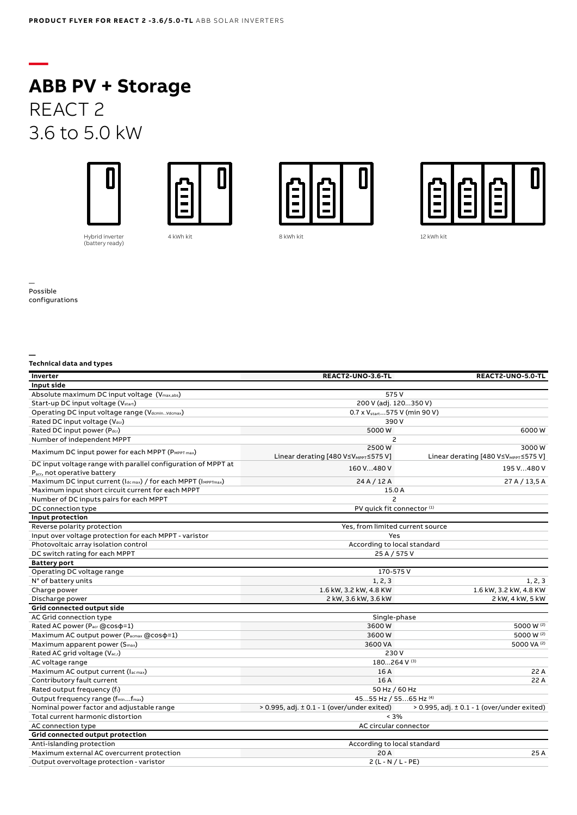## **ABB PV + Storage** REACT 2 3.6 to 5.0 kW









4 kWh kit 12 kWh kit 8 kWh kit 12 kWh kit 12 kWh kit

Hybrid inverter (battery ready)

— Possible configurations

**—**

#### **— Technical data and types**

| Inverter                                                      | REACT2-UNO-3.6-TL                                | REACT2-UNO-5.0-TL                                  |
|---------------------------------------------------------------|--------------------------------------------------|----------------------------------------------------|
| Input side                                                    |                                                  |                                                    |
| Absolute maximum DC input voltage (Vmax,abs)                  | 575V                                             |                                                    |
| Start-up DC input voltage (V <sub>start</sub> )               | 200 V (adj. 120350 V)                            |                                                    |
| Operating DC input voltage range (VdcminVdcmax)               | 0.7 x V <sub>start</sub> 575 V (min 90 V)        |                                                    |
| Rated DC input voltage (Vdcr)                                 | 390V                                             |                                                    |
| Rated DC input power (Pdcr)                                   | 5000W                                            | 6000W                                              |
| Number of independent MPPT                                    | $\overline{c}$                                   |                                                    |
|                                                               | 2500W                                            | 3000W                                              |
| Maximum DC input power for each MPPT (PMPPT max)              | Linear derating [480 V≤V <sub>MPPT</sub> ≤575 V] | Linear derating [480 V≤V <sub>MPPT</sub> ≤575 V]   |
| DC input voltage range with parallel configuration of MPPT at | 160 V480 V                                       | 195 V480 V                                         |
| P <sub>acr</sub> , not operative battery                      |                                                  |                                                    |
| Maximum DC input current (Idcmax) / for each MPPT (IMPPTmax)  | 24 A / 12 A                                      | 27 A / 13,5 A                                      |
| Maximum input short circuit current for each MPPT             | 15.0 A                                           |                                                    |
| Number of DC inputs pairs for each MPPT                       | $\overline{c}$                                   |                                                    |
| DC connection type                                            | PV quick fit connector <sup>(1)</sup>            |                                                    |
| Input protection                                              |                                                  |                                                    |
| Reverse polarity protection                                   | Yes, from limited current source                 |                                                    |
| Input over voltage protection for each MPPT - varistor        | Yes                                              |                                                    |
| Photovoltaic array isolation control                          | According to local standard                      |                                                    |
| DC switch rating for each MPPT                                | 25 A / 575 V                                     |                                                    |
| <b>Battery port</b>                                           |                                                  |                                                    |
| Operating DC voltage range                                    | 170-575V                                         |                                                    |
| N° of battery units                                           | 1, 2, 3                                          | 1, 2, 3                                            |
| Charge power                                                  | 1.6 kW, 3.2 kW, 4.8 KW                           | 1.6 kW, 3.2 kW, 4.8 KW                             |
| Discharge power                                               | 2 kW, 3.6 kW, 3.6 kW                             | 2 kW, 4 kW, 5 kW                                   |
| Grid connected output side                                    |                                                  |                                                    |
| AC Grid connection type                                       | Single-phase                                     |                                                    |
| Rated AC power (Pacr @cos p=1)                                | 3600W                                            | 5000 W (2)                                         |
| Maximum AC output power (Pacmax @cos p=1)                     | 3600W                                            | 5000 W (2)                                         |
| Maximum apparent power (S <sub>max</sub> )                    | 3600 VA                                          | 5000 VA (2)                                        |
| Rated AC grid voltage (Vac,r)                                 | 230 V                                            |                                                    |
| AC voltage range                                              | 180264 V (3)                                     |                                                    |
| Maximum AC output current (lacmax)                            | 16A                                              | 22 A                                               |
| Contributory fault current                                    | 16A                                              | 22 A                                               |
| Rated output frequency (fr)                                   | 50 Hz / 60 Hz                                    |                                                    |
| Output frequency range (fminfmax)                             | 4555 Hz / 5565 Hz (4)                            |                                                    |
| Nominal power factor and adjustable range                     | > 0.995, adj. ± 0.1 - 1 (over/under exited)      | $> 0.995$ , adj. $\pm 0.1 - 1$ (over/under exited) |
| Total current harmonic distortion                             | < 3%                                             |                                                    |
| AC connection type                                            | AC circular connector                            |                                                    |
| Grid connected output protection                              |                                                  |                                                    |
| Anti-islanding protection                                     | According to local standard                      |                                                    |
| Maximum external AC overcurrent protection                    | 20 A                                             | 25 A                                               |
| Output overvoltage protection - varistor                      | $2(L - N / L - PE)$                              |                                                    |
|                                                               |                                                  |                                                    |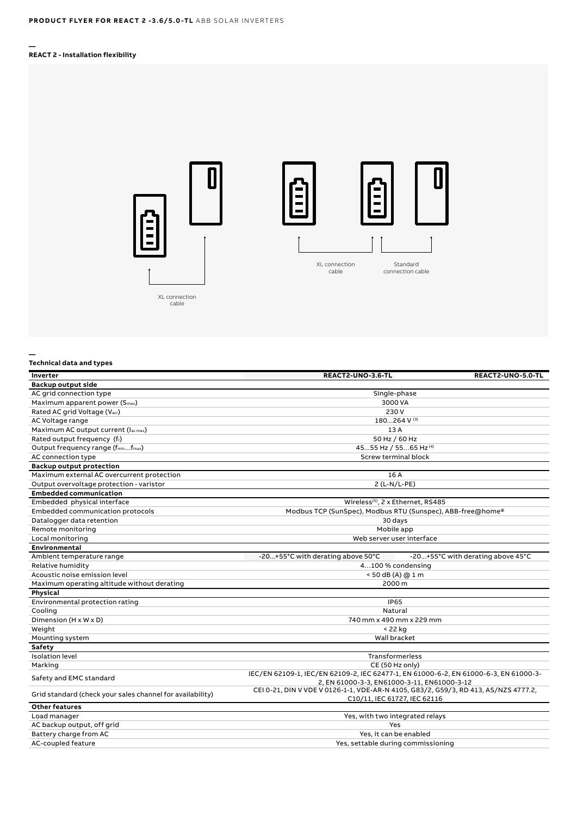#### **— REACT 2 - Installation flexibility**



#### **Technical data and types**

**—**

| Inverter                                                  | REACT2-UNO-3.6-TL                                                                                                                   | REACT2-UNO-5.0-TL                 |
|-----------------------------------------------------------|-------------------------------------------------------------------------------------------------------------------------------------|-----------------------------------|
| Backup output side                                        |                                                                                                                                     |                                   |
| AC grid connection type                                   | Single-phase                                                                                                                        |                                   |
| Maximum apparent power (Smax)                             | 3000 VA                                                                                                                             |                                   |
| Rated AC grid Voltage (Vacr)                              | 230 V                                                                                                                               |                                   |
| AC Voltage range                                          | 180264 V (3)                                                                                                                        |                                   |
| Maximum AC output current (lacmax)                        | 13 A                                                                                                                                |                                   |
| Rated output frequency (fr)                               | 50 Hz / 60 Hz                                                                                                                       |                                   |
| Output frequency range (fminfmax)                         | 4555 Hz / 5565 Hz(4)                                                                                                                |                                   |
| AC connection type                                        | <b>Screw terminal block</b>                                                                                                         |                                   |
| <b>Backup output protection</b>                           |                                                                                                                                     |                                   |
| Maximum external AC overcurrent protection                | 16 A                                                                                                                                |                                   |
| Output overvoltage protection - varistor                  | 2 (L-N/L-PE)                                                                                                                        |                                   |
| <b>Embedded communication</b>                             |                                                                                                                                     |                                   |
| Embedded physical interface                               | Wireless <sup>(5)</sup> , 2 x Ethernet, RS485                                                                                       |                                   |
| Embedded communication protocols                          | Modbus TCP (SunSpec), Modbus RTU (Sunspec), ABB-free@home®                                                                          |                                   |
| Datalogger data retention                                 | 30 days                                                                                                                             |                                   |
| Remote monitoring                                         | Mobile app                                                                                                                          |                                   |
| Local monitoring                                          | Web server user interface                                                                                                           |                                   |
| Environmental                                             |                                                                                                                                     |                                   |
| Ambient temperature range                                 | -20+55°C with derating above 50°C                                                                                                   | -20+55°C with derating above 45°C |
| Relative humidity                                         | 4100 % condensing                                                                                                                   |                                   |
| Acoustic noise emission level                             | < 50 dB (A) @ 1 m                                                                                                                   |                                   |
| Maximum operating altitude without derating               | 2000 m                                                                                                                              |                                   |
| Physical                                                  |                                                                                                                                     |                                   |
| Environmental protection rating                           | <b>IP65</b>                                                                                                                         |                                   |
| Cooling                                                   | Natural                                                                                                                             |                                   |
| Dimension (H x W x D)                                     | 740 mm x 490 mm x 229 mm                                                                                                            |                                   |
| Weight                                                    | < 22 kg                                                                                                                             |                                   |
| Mounting system                                           | Wall bracket                                                                                                                        |                                   |
| Safety                                                    |                                                                                                                                     |                                   |
| <b>Isolation level</b>                                    | Transformerless                                                                                                                     |                                   |
| Marking                                                   | CE (50 Hz only)                                                                                                                     |                                   |
| Safety and EMC standard                                   | IEC/EN 62109-1, IEC/EN 62109-2, IEC 62477-1, EN 61000-6-2, EN 61000-6-3, EN 61000-3-<br>2, EN 61000-3-3, EN61000-3-11, EN61000-3-12 |                                   |
| Grid standard (check your sales channel for availability) | CEI 0-21, DIN V VDE V 0126-1-1, VDE-AR-N 4105, G83/2, G59/3, RD 413, AS/NZS 4777.2,<br>C10/11, IEC 61727, IEC 62116                 |                                   |
| <b>Other features</b>                                     |                                                                                                                                     |                                   |
| Load manager                                              | Yes, with two integrated relays                                                                                                     |                                   |
| AC backup output, off grid                                | Yes                                                                                                                                 |                                   |
| Battery charge from AC                                    | Yes, it can be enabled                                                                                                              |                                   |
| <b>AC-coupled feature</b>                                 | Yes, settable during commissioning                                                                                                  |                                   |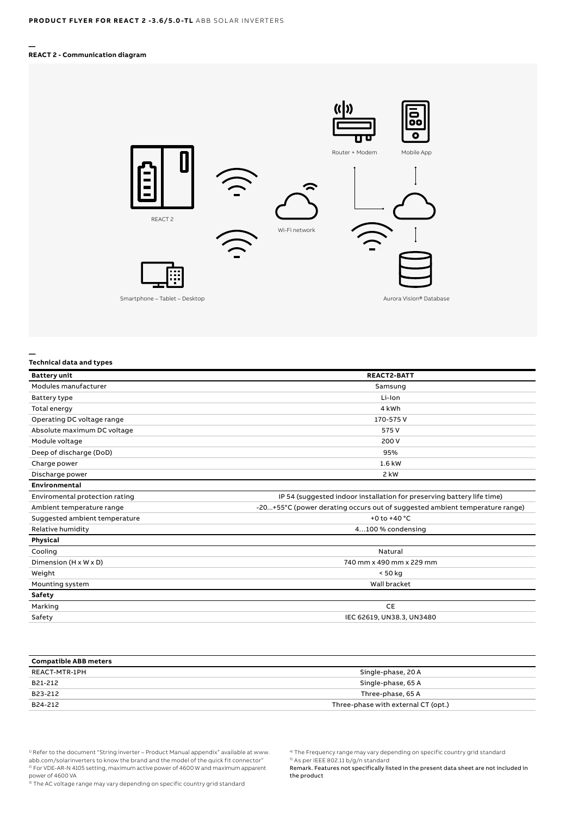#### **— REACT 2 - Communication diagram**



## **Technical data and types**

**—**

| <b>Battery unit</b>            | <b>REACT2-BATT</b>                                                          |  |
|--------------------------------|-----------------------------------------------------------------------------|--|
| Modules manufacturer           | Samsung                                                                     |  |
| Battery type                   | Li-Ion                                                                      |  |
| Total energy                   | 4 kWh                                                                       |  |
| Operating DC voltage range     | 170-575V                                                                    |  |
| Absolute maximum DC voltage    | 575 V                                                                       |  |
| Module voltage                 | 200 V                                                                       |  |
| Deep of discharge (DoD)        | 95%                                                                         |  |
| Charge power                   | 1.6 kW                                                                      |  |
| Discharge power                | 2 kW                                                                        |  |
| Environmental                  |                                                                             |  |
| Enviromental protection rating | IP 54 (suggested indoor installation for preserving battery life time)      |  |
| Ambient temperature range      | -20+55°C (power derating occurs out of suggested ambient temperature range) |  |
| Suggested ambient temperature  | +0 to +40 $^{\circ}$ C                                                      |  |
| Relative humidity              | 4100 % condensing                                                           |  |
| Physical                       |                                                                             |  |
| Cooling                        | Natural                                                                     |  |
| Dimension (H x W x D)          | 740 mm x 490 mm x 229 mm                                                    |  |
| Weight                         | < 50 kg                                                                     |  |
| Mounting system                | Wall bracket                                                                |  |
| Safety                         |                                                                             |  |
| Marking                        | <b>CE</b>                                                                   |  |
| Safety                         | IEC 62619, UN38.3, UN3480                                                   |  |

| <b>Compatible ABB meters</b> |                                     |  |
|------------------------------|-------------------------------------|--|
| REACT-MTR-1PH                | Single-phase, 20 A                  |  |
| B21-212                      | Single-phase, 65 A                  |  |
| B23-212                      | Three-phase, 65 A                   |  |
| B24-212                      | Three-phase with external CT (opt.) |  |

<sup>1)</sup> Refer to the document "String inverter – Product Manual appendix" available at www. abb.com/solarinverters to know the brand and the model of the quick fit connector" 2) For VDE-AR-N 4105 setting, maximum active power of 4600 W and maximum apparent power of 4600 VA<br><sup>3)</sup> The AC voltage range may vary depending on specific country grid standard

5) As per IEEE 802.11 b/g/n standard

Remark. Features not specifically listed in the present data sheet are not included in the product

<sup>4)</sup> The Frequency range may vary depending on specific country grid standard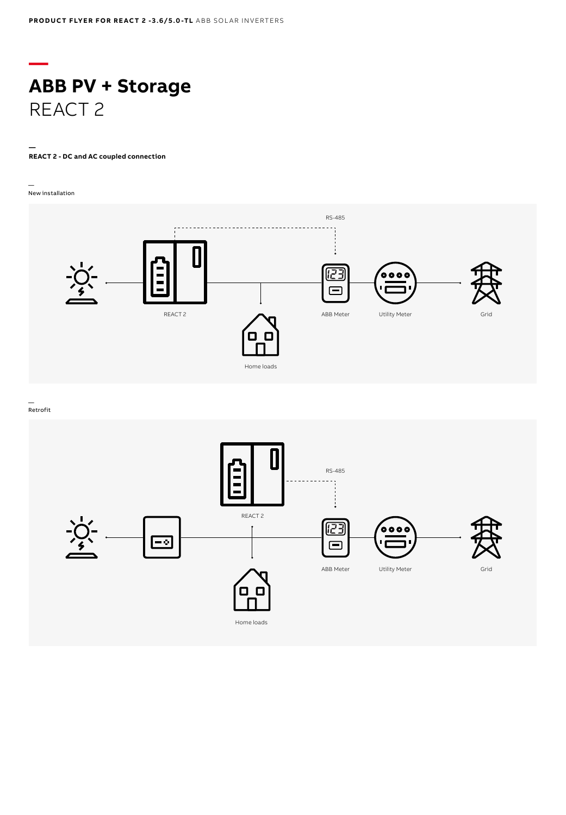## **— ABB PV + Storage** REACT 2

#### **— REACT 2 - DC and AC coupled connection**

— New installation



— Retrofit